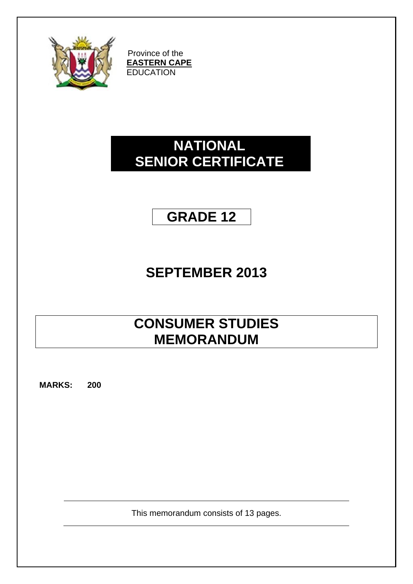

Province of the **EASTERN CAPE EDUCATION** 

# **NATIONAL SENIOR CERTIFICATE**

# **GRADE 12**

# **SEPTEMBER 2013**

# **CONSUMER STUDIES MEMORANDUM**

**MARKS: 200**

This memorandum consists of 13 pages.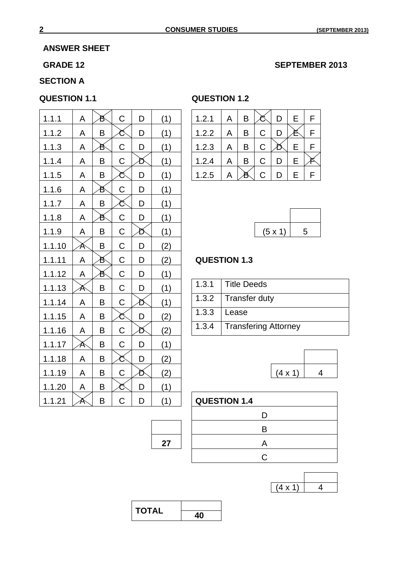### **ANSWER SHEET**

#### GRADE 12 SEPTEMBER 2013

# **SECTION A**

| 1.1.1  | A | ð | $\mathsf C$ | D | (1) | 1.2.1               | A     | B                  | Č                           | D              | E | F |
|--------|---|---|-------------|---|-----|---------------------|-------|--------------------|-----------------------------|----------------|---|---|
| 1.1.2  | A | B | Č           | D | (1) | 1.2.2               | A     | B                  | $\mathsf C$                 | D              | 長 | F |
| 1.1.3  | A | ð | $\mathsf C$ | D | (1) | 1.2.3               | Α     | B                  | C                           | n              | E | F |
| 1.1.4  | A | B | C           | ð | (1) | 1.2.4               | Α     | B                  | $\mathsf C$                 | D              | E | F |
| 1.1.5  | A | B | Ć           | D | (1) | 1.2.5               | A     | ð                  | $\mathsf C$                 | D              | E | F |
| 1.1.6  | A | ð | $\mathsf C$ | D | (1) |                     |       |                    |                             |                |   |   |
| 1.1.7  | A | B | ర           | D | (1) |                     |       |                    |                             |                |   |   |
| 1.1.8  | A | ð | $\mathsf C$ | D | (1) |                     |       |                    |                             |                |   |   |
| 1.1.9  | A | B | $\mathsf C$ | Ď | (1) |                     |       |                    |                             | (5 x 1)        |   | 5 |
| 1.1.10 | Ă | B | $\mathsf C$ | D | (2) |                     |       |                    |                             |                |   |   |
| 1.1.11 | A | ð | $\mathsf C$ | D | (2) | <b>QUESTION 1.3</b> |       |                    |                             |                |   |   |
| 1.1.12 | A | ð | $\mathsf C$ | D | (1) |                     |       |                    |                             |                |   |   |
| 1.1.13 | Ă | B | $\mathsf C$ | D | (1) | 1.3.1               |       | <b>Title Deeds</b> |                             |                |   |   |
| 1.1.14 | A | B | $\mathsf C$ | ð | (1) | 1.3.2               |       |                    | <b>Transfer duty</b>        |                |   |   |
| 1.1.15 | A | B | Ć           | D | (2) | 1.3.3               | Lease |                    |                             |                |   |   |
| 1.1.16 | A | B | $\mathsf C$ | Ď | (2) | 1.3.4               |       |                    | <b>Transfering Attorney</b> |                |   |   |
| 1.1.17 | Ă | B | $\mathsf C$ | D | (1) |                     |       |                    |                             |                |   |   |
| 1.1.18 | A | B | Ć           | D | (2) |                     |       |                    |                             |                |   |   |
| 1.1.19 | A | B | C           | Ď | (2) |                     |       |                    |                             | $(4 \times 1)$ |   |   |
| 1.1.20 | A | B | ర           | D | (1) |                     |       |                    |                             |                |   |   |
| 1.1.21 | Ă | B | $\mathsf C$ | D | (1) | <b>QUESTION 1.4</b> |       |                    |                             |                |   |   |

#### **QUESTION 1.1 QUESTION 1.2**

| 1.2.1 | A | В |   |   | E | F |
|-------|---|---|---|---|---|---|
| 1.2.2 | А | B | С |   |   |   |
| 1.2.3 | А | Β | C |   | E |   |
| 1.2.4 | А | B | C | D | E |   |
| 1.2.5 |   |   | C | D | Е |   |

| $(5 \times 1)$ | 5 |
|----------------|---|

# **QUESTION 1.3**

| 1.3.1   Title Deeds          |
|------------------------------|
| 1.3.2   Transfer duty        |
| $1.3.3$   Lease              |
| 1.3.4   Transfering Attorney |



| 71 | <b>QUESTION 1.4</b> |
|----|---------------------|
|    | I)                  |
|    | R                   |
| 27 | A                   |
|    | C                   |
|    |                     |

| <b>STATE</b> |  |
|--------------|--|

| <b>TOTAL</b> |  |
|--------------|--|
|              |  |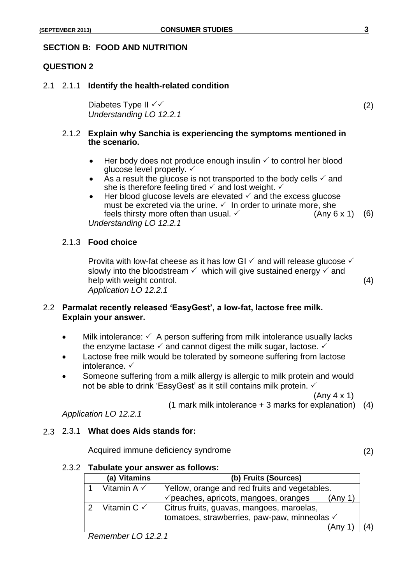# **SECTION B: FOOD AND NUTRITION**

#### **QUESTION 2**

2.1 2.1.1 **Identify the health-related condition**

Diabetes Type II  $\checkmark$  (2) *Understanding LO 12.2.1*

#### 2.1.2 **Explain why Sanchia is experiencing the symptoms mentioned in the scenario.**

- $\bullet$  Her body does not produce enough insulin  $\checkmark$  to control her blood glucose level properly.  $\checkmark$
- As a result the glucose is not transported to the body cells  $\checkmark$  and she is therefore feeling tired  $\checkmark$  and lost weight.  $\checkmark$
- Her blood glucose levels are elevated  $\checkmark$  and the excess glucose must be excreted via the urine.  $\checkmark$  In order to urinate more, she feels thirsty more often than usual.  $\checkmark$  (Any 6 x 1) (6) *Understanding LO 12.2.1*

# 2.1.3 **Food choice**

Provita with low-fat cheese as it has low GI  $\checkmark$  and will release glucose  $\checkmark$ slowly into the bloodstream  $\checkmark$  which will give sustained energy  $\checkmark$  and help with weight control. (4) *Application LO 12.2.1*

# 2.2 **Parmalat recently released 'EasyGest', a low-fat, lactose free milk. Explain your answer.**

- Milk intolerance:  $\checkmark$  A person suffering from milk intolerance usually lacks the enzyme lactase  $\checkmark$  and cannot digest the milk sugar, lactose.  $\checkmark$
- Lactose free milk would be tolerated by someone suffering from lactose intolerance. √
- Someone suffering from a milk allergy is allergic to milk protein and would not be able to drink 'EasyGest' as it still contains milk protein. ✓

(Any 4 x 1)

(1 mark milk intolerance + 3 marks for explanation) (4)

*Application LO 12.2.1*

### 2.3 2.3.1 **What does Aids stands for:**

Acquired immune deficiency syndrome  $(2)$ 

#### 2.3.2 **Tabulate your answer as follows:**

|   | (a) Vitamins           | (b) Fruits (Sources)                                        |  |
|---|------------------------|-------------------------------------------------------------|--|
|   | Vitamin A $\checkmark$ | Yellow, orange and red fruits and vegetables.               |  |
|   |                        | $\checkmark$ peaches, apricots, mangoes, oranges<br>(Any 1) |  |
| っ | Vitamin $C \vee$       | Citrus fruits, guavas, mangoes, maroelas,                   |  |
|   |                        | tomatoes, strawberries, paw-paw, minneolas √                |  |
|   |                        | (Any 1)                                                     |  |

*Remember LO 12.2.1*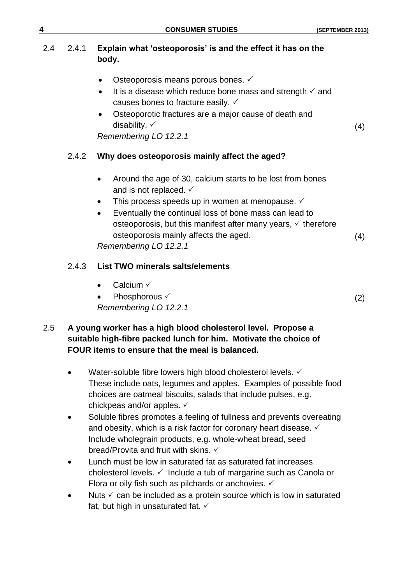| 4   |       | <b>CONSUMER STUDIES</b>                                                                                                                                                                                                                                                                                                                                                                                         | (SEPTEMBER 2013) |
|-----|-------|-----------------------------------------------------------------------------------------------------------------------------------------------------------------------------------------------------------------------------------------------------------------------------------------------------------------------------------------------------------------------------------------------------------------|------------------|
| 2.4 | 2.4.1 | Explain what 'osteoporosis' is and the effect it has on the<br>body.                                                                                                                                                                                                                                                                                                                                            |                  |
|     |       | Osteoporosis means porous bones. ✓<br>$\bullet$<br>It is a disease which reduce bone mass and strength $\checkmark$ and<br>$\bullet$<br>causes bones to fracture easily. $\checkmark$<br>Osteoporotic fractures are a major cause of death and<br>$\bullet$<br>disability. $\checkmark$                                                                                                                         | (4)              |
|     | 2.4.2 | Remembering LO 12.2.1<br>Why does osteoporosis mainly affect the aged?                                                                                                                                                                                                                                                                                                                                          |                  |
|     |       | Around the age of 30, calcium starts to be lost from bones<br>$\bullet$<br>and is not replaced. $\checkmark$<br>This process speeds up in women at menopause. ✓<br>$\bullet$<br>Eventually the continual loss of bone mass can lead to<br>$\bullet$<br>osteoporosis, but this manifest after many years, $\checkmark$ therefore<br>osteoporosis mainly affects the aged.<br>$D_2$ is a subsection of $A \cap A$ | (4)              |

*Remembering LO 12.2.1*

# 2.4.3 **List TWO minerals salts/elements**

- $\bullet$  Calcium  $\checkmark$
- Phosphorous  $\checkmark$  (2) *Remembering LO 12.2.1*

# 2.5 **A young worker has a high blood cholesterol level. Propose a suitable high-fibre packed lunch for him. Motivate the choice of FOUR items to ensure that the meal is balanced.**

- $\bullet$  Water-soluble fibre lowers high blood cholesterol levels.  $\checkmark$ These include oats, legumes and apples. Examples of possible food choices are oatmeal biscuits, salads that include pulses, e.g. chickpeas and/or apples.
- Soluble fibres promotes a feeling of fullness and prevents overeating and obesity, which is a risk factor for coronary heart disease.  $\checkmark$ Include wholegrain products, e.g. whole-wheat bread, seed bread/Provita and fruit with skins.
- Lunch must be low in saturated fat as saturated fat increases cholesterol levels.  $\checkmark$  Include a tub of margarine such as Canola or Flora or oily fish such as pilchards or anchovies.  $\checkmark$
- $\bullet$  Nuts  $\checkmark$  can be included as a protein source which is low in saturated fat, but high in unsaturated fat.  $\checkmark$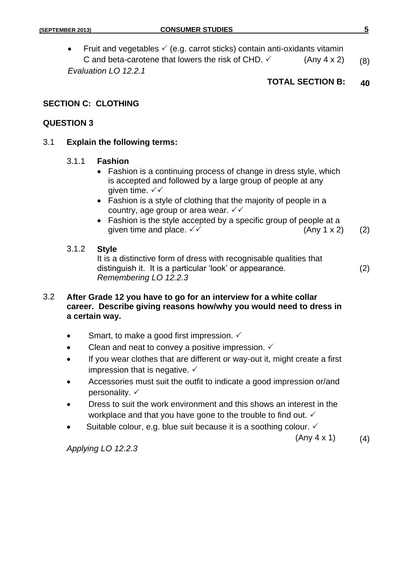• Fruit and vegetables  $\checkmark$  (e.g. carrot sticks) contain anti-oxidants vitamin C and beta-carotene that lowers the risk of CHD.  $\checkmark$  (Any 4 x 2) (8) *Evaluation LO 12.2.1*

# **TOTAL SECTION B: 40**

### **SECTION C: CLOTHING**

#### **QUESTION 3**

#### 3.1 **Explain the following terms:**

#### 3.1.1 **Fashion**

- Fashion is a continuing process of change in dress style, which is accepted and followed by a large group of people at any given time.  $\checkmark\checkmark$
- Fashion is a style of clothing that the majority of people in a country, age group or area wear.  $\sqrt{\sqrt{}}$
- Fashion is the style accepted by a specific group of people at a given time and place.  $\checkmark$  (Any 1 x 2) (2)

#### 3.1.2 **Style**

It is a distinctive form of dress with recognisable qualities that distinguish it. It is a particular 'look' or appearance. (2) *Remembering LO 12.2.3*

# 3.2 **After Grade 12 you have to go for an interview for a white collar career. Describe giving reasons how/why you would need to dress in a certain way.**

- Smart, to make a good first impression.  $\checkmark$
- Clean and neat to convey a positive impression.  $\checkmark$
- If you wear clothes that are different or way-out it, might create a first impression that is negative.  $\checkmark$
- Accessories must suit the outfit to indicate a good impression or/and personality.  $\checkmark$
- Dress to suit the work environment and this shows an interest in the workplace and that you have gone to the trouble to find out.  $\checkmark$
- Suitable colour, e.g. blue suit because it is a soothing colour.  $\checkmark$

 $(Any 4 x 1)$  (4)

*Applying LO 12.2.3*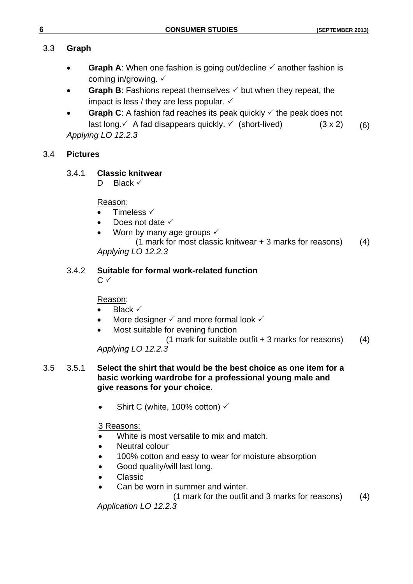# 3.3 **Graph**

- **Graph A:** When one fashion is going out/decline  $\checkmark$  another fashion is coming in/growing.  $\checkmark$
- **Graph B**: Fashions repeat themselves  $\checkmark$  but when they repeat, the impact is less / they are less popular.  $\checkmark$
- **Graph C:** A fashion fad reaches its peak quickly  $\checkmark$  the peak does not last long. A fad disappears quickly.  $\checkmark$  (short-lived) (3 x 2) (6) *Applying LO 12.2.3*

# 3.4 **Pictures**

# 3.4.1 **Classic knitwear**

D Black  $\checkmark$ 

Reason:

- Timeless √
- Does not date  $\checkmark$
- Worn by many age groups  $\checkmark$
- (1 mark for most classic knitwear + 3 marks for reasons) (4) *Applying LO 12.2.3*

#### 3.4.2 **Suitable for formal work-related function**  $C \vee$

# Reason:

- Black  $\checkmark$
- More designer  $\checkmark$  and more formal look  $\checkmark$
- Most suitable for evening function

(1 mark for suitable outfit  $+3$  marks for reasons) (4)

*Applying LO 12.2.3*

# 3.5 3.5.1 **Select the shirt that would be the best choice as one item for a basic working wardrobe for a professional young male and give reasons for your choice.**

• Shirt C (white, 100% cotton)  $\checkmark$ 

# 3 Reasons:

- White is most versatile to mix and match.
- Neutral colour
- 100% cotton and easy to wear for moisture absorption
- Good quality/will last long.
- Classic
- Can be worn in summer and winter.

(1 mark for the outfit and 3 marks for reasons) (4)

*Application LO 12.2.3*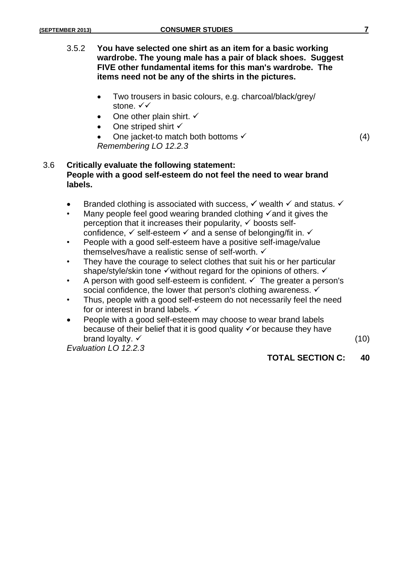- 3.5.2 **You have selected one shirt as an item for a basic working wardrobe. The young male has a pair of black shoes. Suggest FIVE other fundamental items for this man's wardrobe. The items need not be any of the shirts in the pictures.**
	- Two trousers in basic colours, e.g. charcoal/black/grey/ stone. √√
	- One other plain shirt.  $\checkmark$
	- One striped shirt √
	- One jacket-to match both bottoms  $(4)$ *Remembering LO 12.2.3*

# 3.6 **Critically evaluate the following statement: People with a good self-esteem do not feel the need to wear brand labels.**

- Branded clothing is associated with success,  $\checkmark$  wealth  $\checkmark$  and status.  $\checkmark$
- Many people feel good wearing branded clothing  $\checkmark$  and it gives the perception that it increases their popularity,  $\checkmark$  boosts selfconfidence,  $\checkmark$  self-esteem  $\checkmark$  and a sense of belonging/fit in.  $\checkmark$
- People with a good self-esteem have a positive self-image/value themselves/have a realistic sense of self-worth.
- They have the courage to select clothes that suit his or her particular shape/style/skin tone  $\checkmark$  without regard for the opinions of others.  $\checkmark$
- A person with good self-esteem is confident.  $\checkmark$  The greater a person's social confidence, the lower that person's clothing awareness.  $\checkmark$
- Thus, people with a good self-esteem do not necessarily feel the need for or interest in brand labels.  $\checkmark$
- People with a good self-esteem may choose to wear brand labels because of their belief that it is good quality  $\checkmark$  or because they have brand loyalty.  $\checkmark$  (10)

*Evaluation LO 12.2.3*

# **TOTAL SECTION C: 40**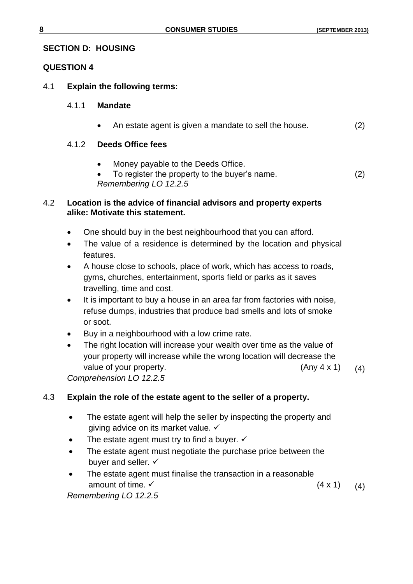# **SECTION D: HOUSING**

# **QUESTION 4**

- 4.1 **Explain the following terms:**
	- 4.1.1 **Mandate**
		- An estate agent is given a mandate to sell the house. (2)

# 4.1.2 **Deeds Office fees**

- Money payable to the Deeds Office.
- To register the property to the buyer's name. (2) *Remembering LO 12.2.5*

# 4.2 **Location is the advice of financial advisors and property experts alike: Motivate this statement.**

- One should buy in the best neighbourhood that you can afford.
- The value of a residence is determined by the location and physical features.
- A house close to schools, place of work, which has access to roads, gyms, churches, entertainment, sports field or parks as it saves travelling, time and cost.
- It is important to buy a house in an area far from factories with noise, refuse dumps, industries that produce bad smells and lots of smoke or soot.
- Buy in a neighbourhood with a low crime rate.
- The right location will increase your wealth over time as the value of your property will increase while the wrong location will decrease the value of your property.  $(4n)(4 \times 1)$  (4)

*Comprehension LO 12.2.5*

# 4.3 **Explain the role of the estate agent to the seller of a property.**

- The estate agent will help the seller by inspecting the property and giving advice on its market value. ✓
- The estate agent must try to find a buyer.  $\checkmark$
- The estate agent must negotiate the purchase price between the buyer and seller.  $\checkmark$
- The estate agent must finalise the transaction in a reasonable amount of time.  $\checkmark$  (4 x 1) (4) *Remembering LO 12.2.5*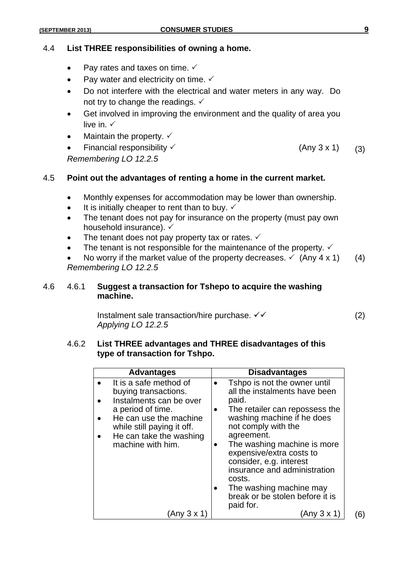### 4.4 **List THREE responsibilities of owning a home.**

- Pay rates and taxes on time.  $\checkmark$
- Pay water and electricity on time.  $\checkmark$
- Do not interfere with the electrical and water meters in any way. Do not try to change the readings.  $\checkmark$
- Get involved in improving the environment and the quality of area you live in.  $\checkmark$
- Maintain the property.  $\checkmark$
- Financial responsibility  $\checkmark$  (Any 3 x 1) (3) *Remembering LO 12.2.5*

# 4.5 **Point out the advantages of renting a home in the current market.**

- Monthly expenses for accommodation may be lower than ownership.
- $\bullet$  It is initially cheaper to rent than to buy.  $\checkmark$
- The tenant does not pay for insurance on the property (must pay own household insurance).  $\checkmark$
- The tenant does not pay property tax or rates.  $\checkmark$
- The tenant is not responsible for the maintenance of the property.  $\checkmark$
- No worry if the market value of the property decreases.  $\checkmark$  (Any 4 x 1) (4) *Remembering LO 12.2.5*

#### 4.6 4.6.1 **Suggest a transaction for Tshepo to acquire the washing machine.**

Instalment sale transaction/hire purchase.  $\checkmark\checkmark$  (2) *Applying LO 12.2.5*

#### 4.6.2 **List THREE advantages and THREE disadvantages of this type of transaction for Tshpo.**

| <b>Advantages</b>                                                                                                                                                                                      | <b>Disadvantages</b>                                                                                                                                                                                                                                                                                                                                                                                |  |
|--------------------------------------------------------------------------------------------------------------------------------------------------------------------------------------------------------|-----------------------------------------------------------------------------------------------------------------------------------------------------------------------------------------------------------------------------------------------------------------------------------------------------------------------------------------------------------------------------------------------------|--|
| It is a safe method of<br>buying transactions.<br>Instalments can be over<br>a period of time.<br>He can use the machine<br>while still paying it off.<br>He can take the washing<br>machine with him. | Tshpo is not the owner until<br>all the instalments have been<br>paid.<br>The retailer can repossess the<br>$\bullet$<br>washing machine if he does<br>not comply with the<br>agreement.<br>The washing machine is more<br>expensive/extra costs to<br>consider, e.g. interest<br>insurance and administration<br>costs.<br>The washing machine may<br>break or be stolen before it is<br>paid for. |  |
| (Any 3 x 1                                                                                                                                                                                             | (Any 3 x 1                                                                                                                                                                                                                                                                                                                                                                                          |  |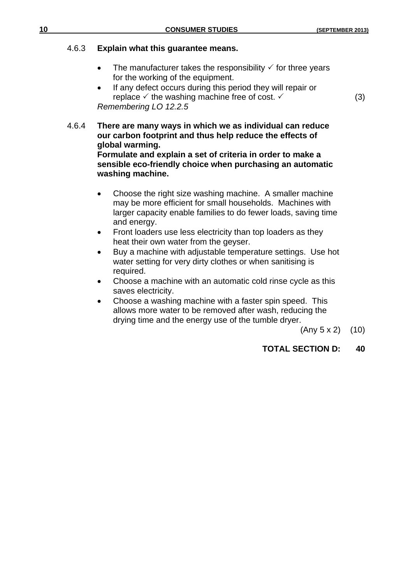#### 4.6.3 **Explain what this guarantee means.**

- The manufacturer takes the responsibility  $\checkmark$  for three years for the working of the equipment.
- If any defect occurs during this period they will repair or replace  $\checkmark$  the washing machine free of cost.  $\checkmark$  (3) *Remembering LO 12.2.5*

4.6.4 **There are many ways in which we as individual can reduce our carbon footprint and thus help reduce the effects of global warming. Formulate and explain a set of criteria in order to make a sensible eco-friendly choice when purchasing an automatic** 

#### **washing machine.**

- Choose the right size washing machine. A smaller machine may be more efficient for small households. Machines with larger capacity enable families to do fewer loads, saving time and energy.
- Front loaders use less electricity than top loaders as they heat their own water from the geyser.
- Buy a machine with adjustable temperature settings. Use hot water setting for very dirty clothes or when sanitising is required.
- Choose a machine with an automatic cold rinse cycle as this saves electricity.
- Choose a washing machine with a faster spin speed. This allows more water to be removed after wash, reducing the drying time and the energy use of the tumble dryer.

 $(Any 5 x 2)$   $(10)$ 

# **TOTAL SECTION D: 40**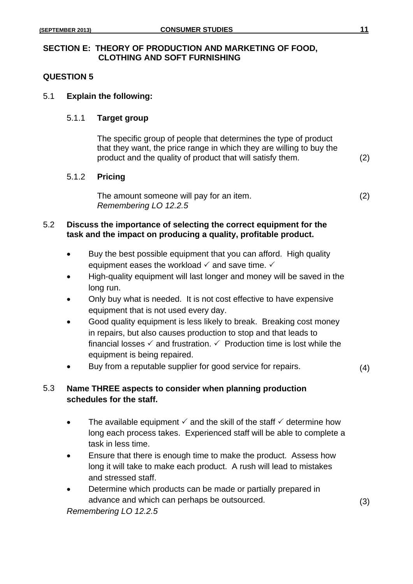### **SECTION E: THEORY OF PRODUCTION AND MARKETING OF FOOD, CLOTHING AND SOFT FURNISHING**

# **QUESTION 5**

### 5.1 **Explain the following:**

#### 5.1.1 **Target group**

The specific group of people that determines the type of product that they want, the price range in which they are willing to buy the product and the quality of product that will satisfy them. (2)

#### 5.1.2 **Pricing**

The amount someone will pay for an item. (2) *Remembering LO 12.2.5*

# 5.2 **Discuss the importance of selecting the correct equipment for the task and the impact on producing a quality, profitable product.**

- Buy the best possible equipment that you can afford. High quality equipment eases the workload  $\checkmark$  and save time.  $\checkmark$
- High-quality equipment will last longer and money will be saved in the long run.
- Only buy what is needed. It is not cost effective to have expensive equipment that is not used every day.
- Good quality equipment is less likely to break. Breaking cost money in repairs, but also causes production to stop and that leads to financial losses  $\checkmark$  and frustration.  $\checkmark$  Production time is lost while the equipment is being repaired.
- Buy from a reputable supplier for good service for repairs. (4)

# 5.3 **Name THREE aspects to consider when planning production schedules for the staff.**

- The available equipment  $\checkmark$  and the skill of the staff  $\checkmark$  determine how long each process takes. Experienced staff will be able to complete a task in less time.
- Ensure that there is enough time to make the product. Assess how long it will take to make each product. A rush will lead to mistakes and stressed staff.
- Determine which products can be made or partially prepared in advance and which can perhaps be outsourced. (3)

*Remembering LO 12.2.5*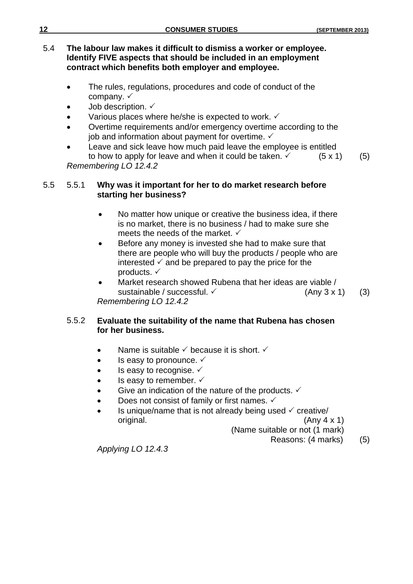| 12  | <b>CONSUMER STUDIES</b>                                                                                                                                                                     | (SEPTEMBER 2013) |  |
|-----|---------------------------------------------------------------------------------------------------------------------------------------------------------------------------------------------|------------------|--|
| 5.4 | The labour law makes it difficult to dismiss a worker or employee.<br>Identify FIVE aspects that should be included in an employment<br>contract which benefits both employer and employee. |                  |  |
|     | The rules, requisions, presedures and eads of conduct of the                                                                                                                                |                  |  |

- The rules, regulations, procedures and code of conduct of the company.  $\checkmark$
- Job description.  $\checkmark$
- Various places where he/she is expected to work. ✓
- Overtime requirements and/or emergency overtime according to the job and information about payment for overtime.  $\checkmark$
- Leave and sick leave how much paid leave the employee is entitled to how to apply for leave and when it could be taken.  $\checkmark$  (5 x 1) (5) *Remembering LO 12.4.2*

# 5.5 5.5.1 **Why was it important for her to do market research before starting her business?**

- No matter how unique or creative the business idea, if there is no market, there is no business / had to make sure she meets the needs of the market.  $\checkmark$
- Before any money is invested she had to make sure that there are people who will buy the products / people who are interested  $\checkmark$  and be prepared to pay the price for the products. ✓
- Market research showed Rubena that her ideas are viable / sustainable / successful.  $\checkmark$  (Any 3 x 1) (3) *Remembering LO 12.4.2*

# 5.5.2 **Evaluate the suitability of the name that Rubena has chosen for her business.**

- Name is suitable  $\checkmark$  because it is short.  $\checkmark$
- Is easy to pronounce.  $\checkmark$
- $\bullet$  Is easy to recognise.  $\checkmark$
- $\bullet$  Is easy to remember.  $\checkmark$
- Give an indication of the nature of the products.  $\checkmark$
- Does not consist of family or first names.  $\checkmark$
- Is unique/name that is not already being used  $\checkmark$  creative/ original. (Any 4 x 1)

(Name suitable or not (1 mark)

Reasons: (4 marks) (5)

*Applying LO 12.4.3*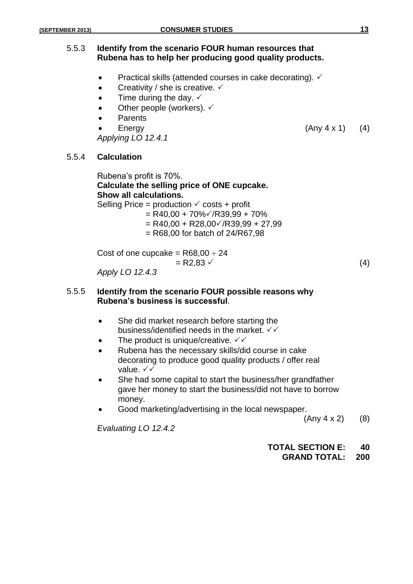# 5.5.3 **Identify from the scenario FOUR human resources that Rubena has to help her producing good quality products.**

- Practical skills (attended courses in cake decorating).  $\checkmark$
- Creativity / she is creative.  $\checkmark$
- $\bullet$  Time during the day.  $\checkmark$
- Other people (workers).  $\checkmark$
- Parents
- 

*Applying LO 12.4.1*

# 5.5.4 **Calculation**

Rubena's profit is 70%. **Calculate the selling price of ONE cupcake. Show all calculations.** Selling Price = production  $\checkmark$  costs + profit  $=$  R40,00 + 70% $\checkmark$ /R39,99 + 70%  $=$  R40,00 + R28,00 $\checkmark$ /R39,99 + 27,99  $=$  R68,00 for batch of 24/R67,98

Cost of one cupcake =  $R68,00 \div 24$  $= R2,83 \checkmark$  (4)

*Apply LO 12.4.3*

#### 5.5.5 **Identify from the scenario FOUR possible reasons why Rubena's business is successful**.

- She did market research before starting the business/identified needs in the market.  $\checkmark\checkmark$
- The product is unique/creative.  $\sqrt{\checkmark}$
- Rubena has the necessary skills/did course in cake decorating to produce good quality products / offer real value. √√
- She had some capital to start the business/her grandfather gave her money to start the business/did not have to borrow money.
- Good marketing/advertising in the local newspaper.

 $(Any 4 x 2)$  (8)

*Evaluating LO 12.4.2*

#### **TOTAL SECTION E: 40 GRAND TOTAL: 200**

Energy  $(Any 4 x 1)$   $(4)$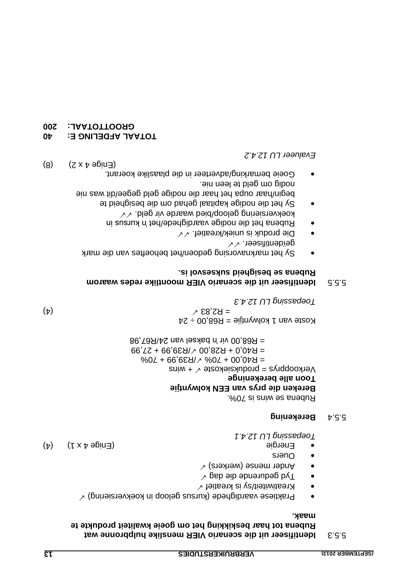#### **Identifiseer uit die scenario VIER menslike hulpbronne wat** 5.5.3 **Rubena tot haar beskikking het om goeie kwaliteit produkte te maak.**

- $\sim$  (pninsierse vaardighede (kursus geloop in koekversiering)  $\sim$
- $\sim$  teitheit/sy is kreatief  $\sim$
- $\sim$  geb eib ebdurende d $\sqrt{}$
- $\sim$  (znense (werkers)
- Ouers
- Energie (4) (4) Energie (5) Financial (4) (4)

*12.4.1 LU Toepassing*

#### **Berekening** 5.5.4

. <sup>20</sup>07 si aniw es snedu<sup>g</sup> **Bereken die prys van EEN kolwyntjie Toon alle berekeninge**  $V$ erkoopprys = produksiekoste  $\sqrt{4}$  wins  $=$  R40 $'$ 00 + 70%  $\sqrt{\text{R39}}$ ,99 + 70%  $=$  R40,0 + R28,00  $\sqrt{R}39,99 + 27,99$  $R^2$ 86,798/hz up baksel van 24/R67,98

 $25 + 20$ ,  $898 =$  eijtrywlox 1 nsv etc $\geq$ (4)  $\times$  83.83  $\times$ *12.4.3 LU Toepassing*

### **Identifiseer uit die scenario VIER moontlike redes waarom** 5.5.5 **Rubena se besigheid suksesvol is.**

- Sy het marknavorsing gedoen/het behoeftes van die mark  $\vee$   $\vee$  . reearifinebïeg
- $\bullet$  Die produk is uniek/kreatief.  $\sqrt{\sqrt{2}}$
- Rubena het die nodige vaardighede/het in kursus in
- koekversiering geloop/bied waarde vir geld.  $\checkmark\checkmark$ Sy het die nodige kapitaal gehad om die besigheid te
- nie begin/haar oupa het haar die nodige geld gegee/dit was nodig om geld te leen nie. Goeie bemarking/adverteer in die plaaslike koerant.

**Evalueer LU 12.4.2** 

- **10TAAL AFDELING E: 40**
- **200 : GROOTTOTAAL**

 $(S)$   $(Z \times F)$  and  $(B)$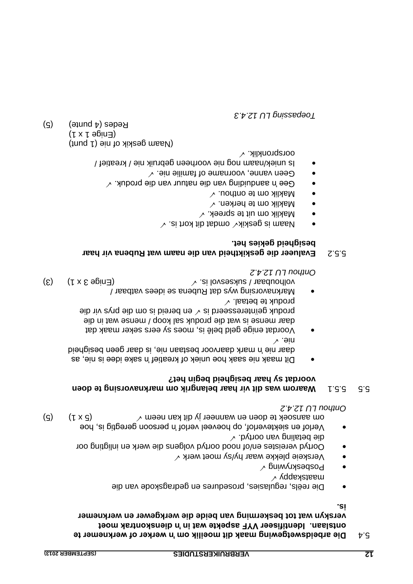# **Die arbeidswetgewing maak dit moeilik om 'n werker of werknemer te** 5.4 **ontslaan. Identifiseer VYF aspekte wat in 'n dienskontrak moet**  verskyn wat tot beskerming van beide die werkgewer en werknemer

**is.**

- Die reëls, regulasies, prosedures en gedragskode van die  $\lambda$  yqqaxataan
- $\sim$  <code>fouwving</code>  $\sim$
- Verskeie plekke waar hy/sy moet werk
- Oortyd vereistes en/of nood oortyd volgens die werk en inligting oor
- $\sim$  .bytroo nev gnilated eib Verlof en siekteverlof, op hoeveel verlof 'n persoon geregtig is, hoe om aansoek te doen en wanneer jy dit kan neem  $\vee$  meem  $\vee$  dit kan neem  $\vee$

*12.4.2 LU Onthou*

#### **Waarom was dit vir haar belangrik om marknavorsing te doen** 5.5.1 5.5 **voordat sy haar besigheid begin het?**

- Dit maak nie saak hoe uniek of kreatief 'n sake idee is nie, as daar nie 'n mark daarvoor bestaan nie, is daar geen besigheid nie.
- Voordat enige geld belê is, moes sy eers seker maak dat daar mense is wat die produk sal koop / mense wat in die eib iiv synq eib mo ai biened ne  $\vee$  ai biesesereintieg xubonq  $\sim$  lested betaal.  $\checkmark$
- aar / Marknavorsing wys dat Rubena se idees vatb  $\mathcal{L}(\mathcal{S})$  (  $\mathcal{S}$  and  $\mathcal{S}$  are  $\mathcal{S}$  is love extracts in  $\mathcal{S}$  and  $\mathcal{S}$  is lower as a subsequence of  $\mathcal{S}$  and  $\mathcal{S}$  are  $\mathcal{S}$  and  $\mathcal{S}$  are  $\mathcal{S}$  and  $\mathcal{S}$  are  $\mathcal{S}$  and  $\mathcal{S}$

*12.4.2 LU Onthou*

# **Evalueer die geskiktheid van die naam wat Rubena vir haar** 5.5.2 **besigheid gekies het.**

- $\searrow$  .ai trox tib tabmo  $\searrow$ xixaeg ai maa $M$
- $\sim$  Maklik om uit te spreek.  $\checkmark$
- Maklik om te herken.  $\checkmark$
- Maklik om te onthou.  $\sqrt{ }$
- $\sim$  . Aubong bie natuur van die produk.
- $\sim$  . Sin silimst to smanne of familie nie.
- /naam nog nie voorheen gebruik nie / kreatief / Is uniek oorspronklik.

(Naam geskik of nie (1 punt)  $( f x \uparrow \theta \sin \theta )$  $(g)$  (a punte) (5)

*12.4.3 LU Toepassing*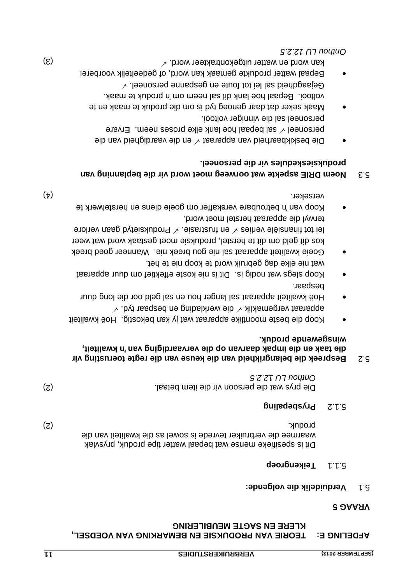# **TEDETING E: LEOKIE AVA BKODNKSIE EN BEMVKKING AVA AOEDSEL, KLERE EN SAGTE MEUBILERING**

# **5 VRAAG**

# **Verduidelik die volgende:** 5.1

# **S.1.1 Teikengroep**

Dit is spesifieke mense wat bepaal watter tipe produk, prysvlak waarmee die verbruiker tevrede is sowel as die kwaliteit van die (2) produk.

# **Prysbepaling** 5.1.2

(2) Die prys wat die persoon vir die item betaal. *12.2.5 LU Onthou*

# **toerusting vir Bespreek die belangrikheid van die keuse van die regte** 5.2 **die taak en die impak daarvan op die vervaardiging van 'n kwaliteit, winsgewende produk.**

- Koop die beste moontlike apparaat wat jy kan bekostig. Hoë kwaliteit apparaat vergemaklik  $\checkmark$  die werklading en bespaar tyd.  $\checkmark$
- Hoë kwaliteit apparaat sal langer hou en sal geld oor die long duur bespaar.
- Koop slegs wat nodig is. Dit is nie koste effektief om duur apparaat wat nie elke dag gebruik word te koop nie te het.
- Goeie kwaliteit apparaat sal nie gou breek nie. Wanneer goed breek kos dit geld om dit te herstel, produksie moet gestaak word wat weer Produksietyd gaan verlies  $\sqrt{ }$  and trustrasie.  $\sqrt{ }$  Produksietyd gaan verlore terwyl die apparaat herstel moet word.
- Koop van 'n betroubare verskaffer om goeie diens en herstelwerk te verseker. (4)

# **Noem DRIE aspekte wat oorweeg moet word vir die beplanning van** 5.3 **produksieskedules vir die personeel.**

- Die beskikbaarheid van apparaat  $\checkmark$  en die vaardigheid van die personeel  $\sqrt{s}$  al bepaal hoe lank elke proses neem. Ervare personeel sal die vinniger voltooi.
- Maak seker dat daar genoeg tyd is om die produk te maak en te voltooi. Bepaal hoe lank dit sal neem om 'n produk te maak.  $\sim$  .leenoaneg sal lei tot foute en gespanne personeel.  $\sim$
- Bepaal watter produkte gemaak kan word, of gedeeltelik voorberei kan word en watter uitgekontrakteer word.  $\vee$

*12.2.5 LU Onthou*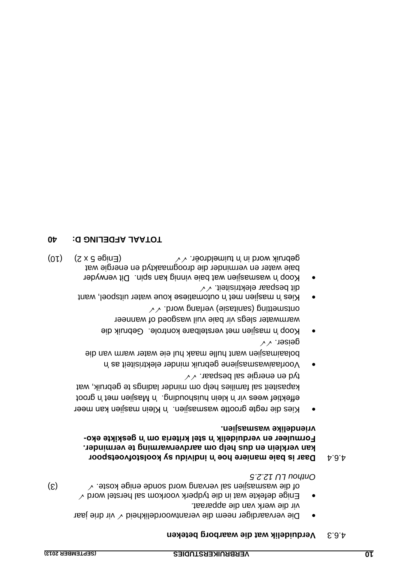- Die vervaardiger neem die verantwoordelikheid $\checkmark$  vir drie jaar vir die werk van die apparaat.
- $\bar{\epsilon}$ nige defekte wat in die tydperk voorkom sal herstel word  $\checkmark$ (3) of die wasmasjien sal vervang word sonde enige koste. *12.2.5 LU Onthou*

#### **A.6.4** Daar is baie maniere hoe in individu sy koolstofvoetspoor kan verklein en dus help om aardverwarming te verminder. **- Formuleer en verduidelik 'n stel kriteria om 'n geskikte eko . vriendelike wasmasjien**

- regte grootte wasmasjien. 'n Klein masjien kan meer Kies die effektief wees vir 'n klein huishouding. 'n Masjien met 'n groot hew, hindelp et sprijfer minder ladings te gebruik, wat tyd en energie sal bespaar.  $\sqrt{\sqrt{2}}$
- t as 'n Voorlaaiwasmasjiene gebruik minder elektrisitei bolaaimasjien want hulle maak hul eie water warm wan die geiser.
- Koop 'n masjien met verstelbare kontrole. Gebruik die warmwater slegs vir baie vuil wasgoed of wanneer  $\sim$  biow pnshev (eizstings) pnittematro
- kies 'n masjien met 'n outomatiese koue water uitspoel, want  $\vee$  tietisintale rasqeed tib
- Koop 'n wasmasjien wat baie vinnig kan spin. Dit verwyder baie water en verminder die droogmaaktyd en energie wat gebruik word in tuimeldroër.  $\sqrt{\sqrt{2}}$

# **40 D: AFDELING L A TOTA**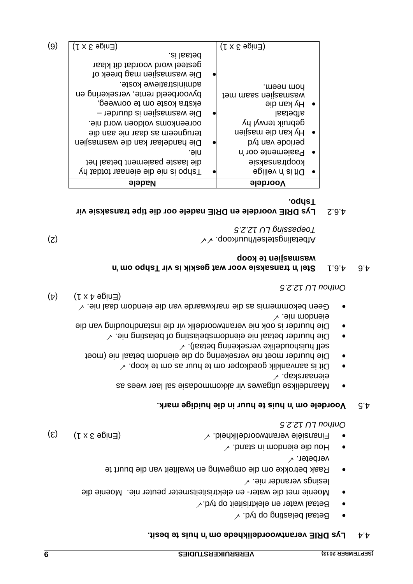#### **Lys DRIE verantwoordelikhede om 'n huis te besit.** 4.4

- $\sim$  .byt qo gnitaaled lasted
- $\sim$  byt qo tietisithele ne netalle de tyd. $\sim$
- Moenie met die water- en elektrisiteitsmeter peuter nie. Moenie die
- lesings verander nie.  $\sqrt{ }$
- Raak betrokke om die omgewing en kwaliteit van die buurt te verbeter.
- $\sim$  .bnsta ni mobneie eib uoH
- Finansiële verantwoordelikheid.  $\vee$  biedalikheid. So the set of  $\mathcal{S}$  x 1) (3)

*12.2.5 LU Onthou*

# **Voordele om 'n huis te huur in die huidige mark.** 4.5

- Maandelikse uitgawes vir akkommodasie sal laer wees as  $\sim$  .qsxansaneie
- Dit is aanvanklik goedkoper om te huur as om te koop.  $\checkmark$
- Die huurder moet nie versekering op die eiendom betaal nie (moet self huishoudelike versekering betaal).  $\checkmark$
- Die huurder betaal nie eiendomsbelasting of belasting nie.  $\checkmark$ Die huurder is ook nie verantwoordelik vir die instandhouding van die
- eiendom nie.  $\sim$  . Sin labe modernis as die markwaarde van die eiendom daal nie.  $\sim$  $(\uparrow)$   $(\downarrow \times \uparrow \theta)$   $(\downarrow)$

*12.2.5 LU Onthou*

# **om 'n Stel 'n transaksie voor wat geskik is vir Tshpo** 4.6.1 4.6 **wasmasjien te koop**

 $\lambda$  / dooxhuurkoop.  $\lambda$  / dooxhuurkoop.  $\lambda$  / dooxhuurkoop.  $\lambda$  / dooxhuurkoop.  $\lambda$  / dooxhuurkoop.  $\lambda$  / dooxhuurkoop.  $\lambda$  / dooxhuurkoop.  $\lambda$  / dooxhuurkoop.  $\lambda$  / dooxhuurkoop.  $\lambda$  / dooxhuurkoop.  $\lambda$  / doox *12.2.5 LU Toepassing*

# **Lys DRIE voordele en DRIE nadele oor die tipe transaksie vir** 4.6.2 **Tshpo.**

| byvoorbeeld rente, versekering en<br>tem mass neijzsmassw<br>Hy kan die<br>ekstra koste om te oorweeg,<br>Die wasmasjien is duurder -<br>lastedaal<br>gebruik terwyl hy<br>ooreenkoms voldoen word nie.<br>Hy kan die masjien<br>terugneem as daar nie aan die<br>byt nsv aboited<br>Die handelaar kan die wasmasjien<br>Paaiemente oor 'n<br>.əin<br>die laaste paaiement betaal het<br>kooptransaksie<br>Vn tsbtot nasneje eib ein si oqnaT<br><b>Dit is 'n veilige</b> | $\bullet$<br>$\bullet$<br>$\bullet$ |
|---------------------------------------------------------------------------------------------------------------------------------------------------------------------------------------------------------------------------------------------------------------------------------------------------------------------------------------------------------------------------------------------------------------------------------------------------------------------------|-------------------------------------|
|                                                                                                                                                                                                                                                                                                                                                                                                                                                                           |                                     |
|                                                                                                                                                                                                                                                                                                                                                                                                                                                                           |                                     |
|                                                                                                                                                                                                                                                                                                                                                                                                                                                                           |                                     |
|                                                                                                                                                                                                                                                                                                                                                                                                                                                                           |                                     |
|                                                                                                                                                                                                                                                                                                                                                                                                                                                                           |                                     |
|                                                                                                                                                                                                                                                                                                                                                                                                                                                                           |                                     |
|                                                                                                                                                                                                                                                                                                                                                                                                                                                                           |                                     |
|                                                                                                                                                                                                                                                                                                                                                                                                                                                                           |                                     |
|                                                                                                                                                                                                                                                                                                                                                                                                                                                                           |                                     |
| administratiewe koste.<br>hom neem.                                                                                                                                                                                                                                                                                                                                                                                                                                       |                                     |
| Die wasmasjien mag breek of                                                                                                                                                                                                                                                                                                                                                                                                                                               |                                     |
| gesteel word voordat dit klaar                                                                                                                                                                                                                                                                                                                                                                                                                                            |                                     |
| betaal is.                                                                                                                                                                                                                                                                                                                                                                                                                                                                |                                     |
| (9)<br>$($ r x $\epsilon$ ə $\epsilon$ in=<br>$($ r x $\epsilon$ ə $\varrho$ in $\exists$ )                                                                                                                                                                                                                                                                                                                                                                               |                                     |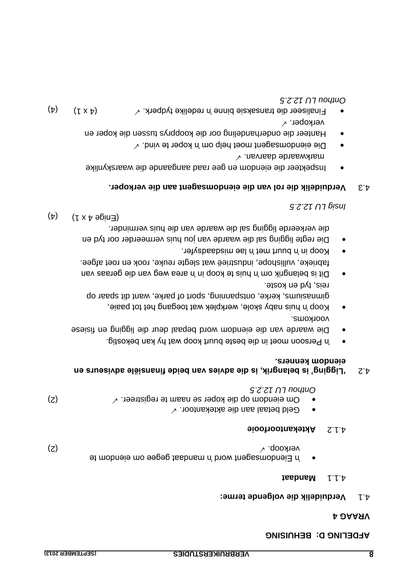# **BEDETING D: BEHNISING**

#### **4 VRAAG**

#### **volgende terme: Verduidelik die** 4.1

#### **Mandaat** 4.1.1

| (z) | verkoop. $\checkmark$                               |  |
|-----|-----------------------------------------------------|--|
|     | n Eiendomsagent word 'n mandaat gegee om eiendom te |  |

#### **Aktekantoorfooie**

- Geld betaal aan die aktekantoor.
- Om eiendom op die koper se naam te registreer.  $\checkmark$ *12.2.5 LU Onthou*

# **'Ligging' is belangrik, is die advies van beide finansiële adviseurs en** 4.2 **eiendom kenners.**

- 'n Persoon moet in die beste buurt koop wat hy kan bekostig.
- Die waarde van die eiendom word bepaal deur die ligging en fisiese voorkoms.
- Koop 'n huis naby skole, werkplek wat toegang het tot paaie, gimnasiums, kerke, ontspanning, sport of parke, want dit spaar op reis, tyd en koste.
- Dit is belangrik om 'n huis te koop in 'n area weg van die geraas van fabrieke, vullishope, industrieë wat slegte reuke, rook en roet afgee.
- Koop in 'n buurt met 'n lae misdaadsyfer.
- Die regte ligging sal die waarde van jou huis vermeerder oor tyd en die verkeerde ligging sal die waarde van die huis verminder.

 $(\forall)$   $(\forall x \forall \theta)$   $(\forall)$ 

*12.2.5 LU Insig*

# **Verduidelik die rol van die eiendomsagent aan die verkoper.** 4.3

- Inspekteer die eiendom en gee raad aangaande die waarskynlike markwaarde daarvan.  $\checkmark$
- $\sim$  . bniv et negent moet help om 'n koper te vind.  $\sim$ • Hanteer die onderhandeling oor die koopprys tussen die koper en
- verkoper.  $\checkmark$  $(\mathbf{r})$ Finaliseer die transaksie binne 'n redelike tydperk.  $\checkmark$ *12.2.5 LU Onthou*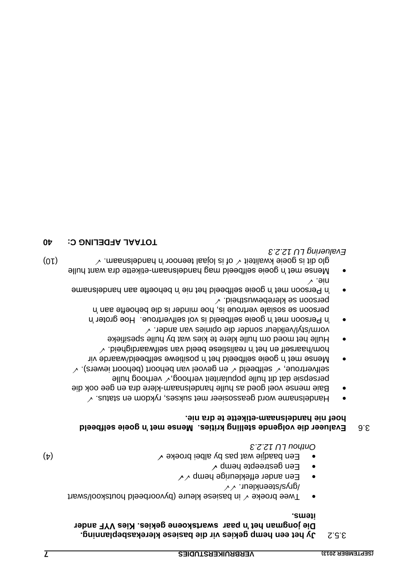# **hemp gekies vir die basiese klerekasbeplanning. een Jy het** 3.5.2 **Die jongman het 'n paar swartskoene gekies. Kies VYF ander items.**

- Twee broeke  $\checkmark$  in basiese kleure (byvoorbeeld houtskool/swart /grys/steenkleur.  $\checkmark$
- Een ander effekleurige hemp  $\checkmark$
- $\sim$  qmən ətqəəntaəp nə $\equiv$
- Een baadjie wat pas by albei broeke  $\checkmark$

*12.2.3 LU Onthou*

*12.2.3 LU ering Evalu*

# **Evalueer die volgende stelling krities. Mense met 'n goeie selfbeeld** 3.6 hoef nie handelsnaam-etikette te dra nie.

- Handelsname word geassosieer met sukses, rykdom en status.  $\sqrt{ }$
- Baie mense voel goed as hulle handelsnaam-klere dra en gee ook die persepsie dat dit hulle populariteit verhoog,  $\checkmark$  verhoog hulle
- en genoel van behoort (behoort (behoort iewers).  $\sim$ Mense met 'n goeie selfbeeld het 'n positiewe selfbeeld/waarde vir
- $\sim$  .biengibnaswiles nav bleed easitailsen n' ten hearsen $\sim$ Hulle het moed om hulle klere te kies wat by hulle spesifieke vorm/styl/velkleur sonder die opinies van ander.
- *i*n Persoon met 'n goeie selfbeeld is vol selfvertroue. Hoe groter 'n persoon se sosiale vertroue is, hoe minder is die behoefte aan 'n  $\sim$  .bientsuwedewustheid.  $\sqrt{ }$
- 'n Persoon met 'n goeie selfbeeld het nie 'n behoefte aan handelsname nie.
- Mense met 'n goeie selfbeeld mag handelsnaam-etikette dra want hulle (0)  $\sim$  mesing is goeie kwaliteit  $\sim$  of is lojaal teenoor in nondelsnam.  $\sim$

**10 APDELING C: 40**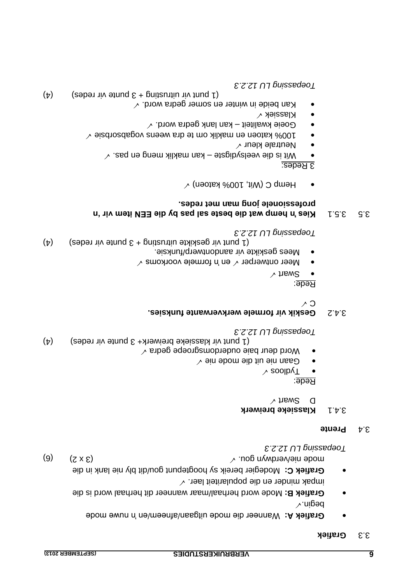#### **Grafiek** 3.3

- Wanneer die mode uitgaan/afneem/en 'n nuwe mode **Grafiek A:**  $\lambda$  uibeq
- Mode word herhaal/maar wanneer dit herhaal word is die **Grafiek B:** impak minder en die populariteit laer.
- Grafiek C: Modegier bereik sy hoogtepunt gou/dit bly nie lank in die (a)  $(3 \times 2)$  (b)  $(6)$  when  $(3 \times 2)$  (c)

*12.2.3 LU Toepassing*

#### **Prente** 3.4

#### **Klassieke breiwerk** 3.4.1

 $\lambda$  figw2 d

# Rede:

- $\lambda$  soolby  $\top$
- $\sim$  ain abom aib tiu ain nas $\Theta$
- Word deur baie ouderdomsgroepe gedra  $\checkmark$
- (4) (1 punt vir klassieke breiwerk+ 3 punte vir redes (4) *12.2.3 LU Toepassing*

# **Geskik vir formele werkverwante funksies.** 3.4.2

 $\wedge$  0

Rede:

- $\sim$  traw $\mathcal Z$
- Meer ontwerper  $\checkmark$  en 'n formele voorkoms  $\checkmark$
- Mees geskikte vir aandontwerp/funksie.

(4) (1 punt vir geskikte uitrusting + 3 punte vir redes) *12.2.3 LU Toepassing*

### **S.5. 3.5.1 Aiges in the pass of passes sale is said with the same with**  $\mathbf{u}$  **and**  $\mathbf{u}$  **is a set of passes same in**  $\mathbf{u}$  **is an integrated by**  $\mathbf{u}$  **is an integrated by**  $\mathbf{u}$  **is an integrated by**  $\mathbf{u}$  **is an professionele jong man met redes.**

) Hemp C (Wit, 100% katoen)  $\sim$ 

<u>3 Redes:</u>

- Wit is die veelsydigste kan naklik meng en pas.  $\sqrt{ }$
- Neutrale kleur  $\checkmark$
- 100% katoen en maklik om te dra weens vogabsorbsie  $\checkmark$
- Goeie kwaliteit kan lank gedra word.  $\checkmark$
- Klassiek V
- Kan beide in winter en somer gedra word.  $\checkmark$
- (a) (1 punt vir uitrusting + 3 punte vir redes) *12.2.3 LU Toepassing*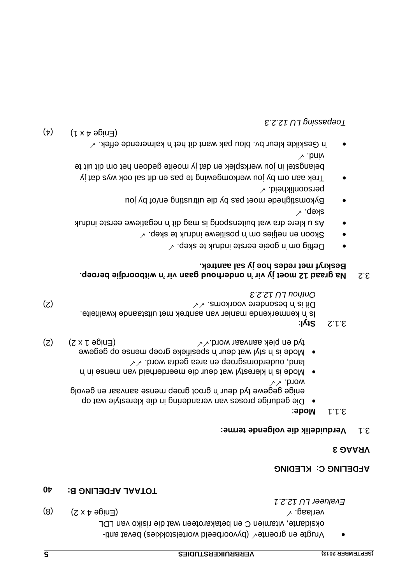Vrugte en groente $\checkmark$  (byvoorbeeld wortelstokkies) bevat anti-JOJ nsv oxisin eib tew neetonsalated ne O neimstiv etnabiexo  $(8)$   $(x \times b \cdot \text{qoint})$  (8)  $(9)$ 

# **10TAAL AFDELING B: 40**

# **KLDETING C: KTEDING**

**Evalueer LU 12.2.1** 

# **3 VRAAG**

# **Verduidelik die volgende terme:** 3.1

- 3.1.1 **Mode**:
- Die gedurige proses van verandering in die klerestyle wat op enige gegewe tyd deur 'n groot groep mense aanvaar en gevolg  $\wedge\wedge$  .b10w
- Mode is 'n klerestyl wat deur die meerderheid van mense in 'n land, ouderdomsgroep en area gedra word.  $\sqrt{\sqrt{2}}$
- Mode is 'n styl wat deur 'n spesifieke groep mense op gegewe (2)  $(2)$  (2x  $\uparrow$  9  $\uparrow$   $(2)$   $(3)$   $(3)$
- : **Styl** 3.1.2

Is 'n kenmerkende manier van aantrek met uitstaande kwaliteite.  $(\mathsf{S})$  . Dit is 'n besondere voorkoms.  $\vee\vee$  and  $\vee\vee\vee$  and  $(\mathsf{S})$ *12.2.3 Onthou LU*

# **3.2** Na graad 12 moet jy vir 'n onderhoud gaan vir 'n witboordjie beroep. **sal aantrek. jy Beskryf met redes hoe**

- Deftig om 'n goeie eerste indruk te skep.  $\sqrt{ }$
- $\sim$  .qə $\lambda$ e ə $t$  xuboni əwəiti $\epsilon$ oq n' mo səi $t$ iən nə noo $\lambda$ 2
- As u klere dra wat buitensporig is mag dit 'n negatiewe eerste indruk  $\vee$  . qexe
- Bykomstighede moet pas by die uitrusting en/of by jou  $\sim$  .bied ilikheid.
- Trek aan om by jou werkomgewing te pas en dit sal ook wys dat jy belangstel in jou werksplek en dat jy moeite gedoen het om dit uit te vind.
- $\sim$  . Aefikte kleur bv. blou pak want dit het n kalmerende effek.  $\sim$

 $(\nabla \times \mathbf{y})$   $(\nabla \times \mathbf{y})$ 

*12.2.3 LU Toepassing*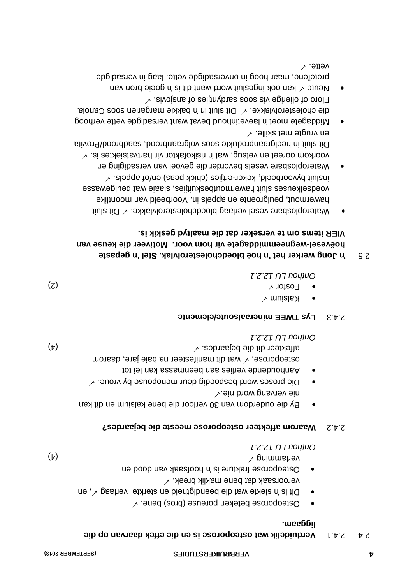# **op die daarvan Verduidelik wat osteoporose is en die effek** 2.4.1 2.4 **liggaam.**

- $\bullet$   $\quad$  Osteoporose beteken poreuse (bros) bene.  $\checkmark$
- Dit is 'n siekte wat die beendigtheid en sterkte verlaag  $\sqrt{ }$ , en
- veroorsaak dat bene maklik breek.  $\checkmark$ de boob daar van die is ontstaak van dood en  $\mathbf{v}(\mathbf{t})$

**Waarom affekteer osteoporose meeste die bejaardes?** 2.4.2

*12.2.1 LU Onthou*

- By die ouderdom van 30 verloor die bene kalsium en dit kan nie vervang word nie.
- Die proses word bespoedig deur menopouse by vroue.  $\checkmark$ Aanhoudende verlies aan beenmassa kan lei tot
- wat dit manifesteer na baie jare, daarom manifesteer na baie jare, daarom (4) affekteer dit die bejaardes. *12.2.1 LU Onthou*

# **Lys TWEE mineraalsoute/elemente** 2.4.3

 $\times$  muisla $\times$ 

 $\sim$  Fosfor  $\sim$  Fosfor  $\sim$ 

*12.2.1 LU Onthou* 

# **Jong werker het 'n hoë bloedcholesterolvlak. Stel 'n gepaste 'n** 2.5 hoëvesel-wegneemmiddagete vir hom voor. Motiveer die keuse van **VIER items om te verseker dat die maaltyd geskik is.**

- Wateroplosbare vesel verlaag bloedcholesterolvlakke.  $\checkmark$  Dit sluit hawermout, peulgroente en appels in. Voorbeeld van moontlike voedselkenses sluit hawermoutbesdruitjies, slaaie wat peulgewasse insluit byvoorbeeld, keker-ertjies (chick peas) en/of appels.  $\checkmark$
- ateroplosbare vesels bevorder die gevoel van versadiging en W voorkom ooreet en vetsug, wat 'n risikofaktor vir hartvatsiektes is.  $\checkmark$ Dit sluit in heelgraanprodukte soos volgraanbrood, saadbrood/Provita en vrugte met skille.
- Bevat want in laevetinhoud bevat want versadigde vette verhoog die cholesterolvlakke.  $\sqrt{D}$ it sluit in 'n bakkie margarien soos Canola,  $\sim$  . sivoians to seiitnybras soos siv epiteilo to otol $\exists$
- Neute  $\sqrt{ }$  kan ook ingesluit word want dit is in goeie bron van proteïene, maar hoog in onversadigde vette, laag in versadigde vette.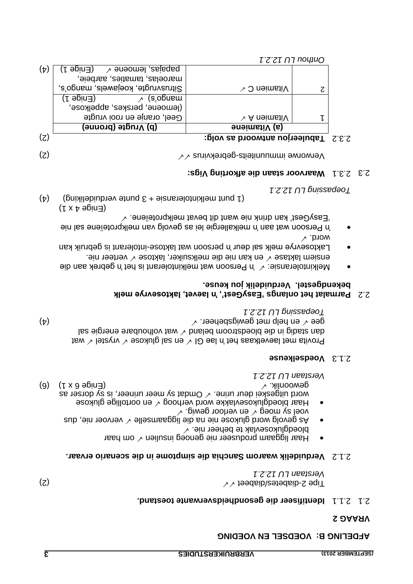#### **VLDETING B: AOED2ET EN AOEDING**

#### **2 VRAAG**

#### **Identifiseer die gesondheidsverwante toestand.** 2.1.1 2.1

(2)  $\vee$  diabetes/diabetes/ $\vee$  teads  $\vee$ *12.2.1 UL Verstaan*

#### **die simptome in die scenario ervaar. Verduidelik waarom Sanchia** 2.1.2

- Haar liggaam produseer nie genoeg insulien  $\checkmark$  om haar bloedglukosevlak te beheer nie.  $\checkmark$
- ervoer nie, dus dus die nie, dus die liggaamselle  $\checkmark$  vervoer nie, dus voel sy moeg  $\checkmark$  en verloor gewig.  $\checkmark$
- Haar bloedglukosevlakke word verhoog  $\checkmark$  en oortollige glukose word uitgeskei deur urine.  $\checkmark$  Omdat sy meer urineer, is sy dorser as (6) 6 x 1) Enige ( gewoonlik. *12.2.1 LU Verstaan*

#### **Voedselkeuse** 2.1.3

Provita met laevetkaas het 'n lae GI  $\vee$  en sal glukose  $\vee$  vrystel  $\vee$  wat dan stadig in die bloedstroom beland  $\vee$  wat volhoubare energie sal  $(\star)$  on help met gewigsbeheer.  $\lor$   $\rightarrow$   $(\star)$ *12.2.1 LU Toepassing* 

#### 2.2 Parmalat het onlangs 'EasyGest', 'n laevet, laktosevrye melk **bekendgestel. Verduidelik jou keuse.**

- Melkintoleransie:  $\checkmark$  'n Persoon wat melkintolerant is het 'n gebrek aan die ensiem laktase  $\checkmark$  en kan nie die melksuiker, laktose  $\checkmark$  verteer nie.
- Laktosevrye melk sal deur 'n persoon wat laktose-intolerant is gebruik kan  $\checkmark$  .biow
- 'n Persoon wat aan 'n melkallergie lei as gevolg van melkproteïene sal nie  $\sim$  .ənəïətoາq›lləm təvəd tib tnaw əin xhinb nsx 'təcy $\rm e$ sa $\rm i$ '
- $( \mathsf{L} \times \mathsf{A} \oplus \mathsf{B} \cup \mathsf{B} \oplus \mathsf{B} \cup \mathsf{B} \oplus \mathsf{B} \oplus \mathsf{B} \oplus \mathsf{B} \oplus \mathsf{B} \oplus \mathsf{B} \oplus \mathsf{B} \oplus \mathsf{B} \oplus \mathsf{B} \oplus \mathsf{B} \oplus \mathsf{B} \oplus \mathsf{B} \oplus \mathsf{B} \oplus \mathsf{B} \oplus \mathsf{B} \oplus \mathsf{B} \oplus \mathsf{B} \oplus \mathsf{B} \oplus \mathsf{B} \oplus \mathsf{B}$
- $(1)$  punt melkintoleransie + 3 punte verduideliking  $(4)$

*12.2.1 LU Toepassing*

# **: Vigs aarvoor staan die afkorting W** 2.3.1 2.3

 $(2)$  gebrekvirus  $\sim$   $\sim$  suniteits-gebrekvirus  $\sim$   $\sim$   $(3)$ 

|                           | (d) Vrugte (bronne) | (a) Vitamiene                         |  |
|---------------------------|---------------------|---------------------------------------|--|
| $(\overline{\mathsf{c}})$ |                     | $2.3.2$ Tabuleerjou antwoord as volg: |  |

|     |                                      | <u>ι 2 z</u> ι η η ποιμυρ |  |
|-----|--------------------------------------|---------------------------|--|
| (4) | (L əpin∃)<br>$\sim$ ənəoməl ,asisqaq |                           |  |
|     | maroelas, tamaties, aarbeie,         |                           |  |
|     | Sitrusvrugte, koejawels, mango's,    | $\vee$ O neimsti $\vee$   |  |
|     | (L əpin∃)<br>(s,obuew                |                           |  |
|     | (lemoene, perskes, appelkose,        |                           |  |
|     | Geel, oranje en rooi vrugte          | $\vee$ A neimsti $\vee$   |  |
|     | (d) Vrugte (bronne)                  | (a) Vitamiene             |  |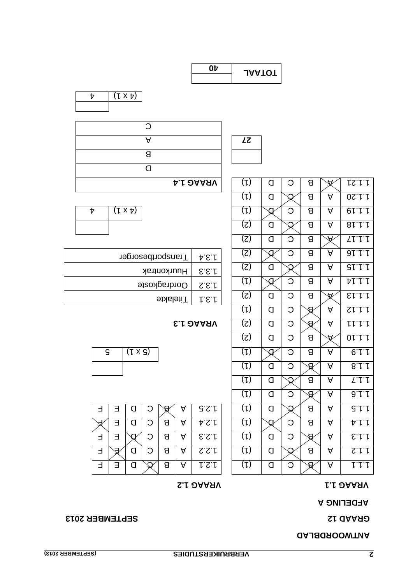# **ANTWOORDBLAD**

# SEPTEMBER 2013

# **A AFDELING**

# **1.2 VRAAG 1.1 VRAAG**

|   |   |   | w |   |       | $\lambda$ r | $\sim$ | . . | _ <i>r r</i> |
|---|---|---|---|---|-------|-------------|--------|-----|--------------|
|   | Π | Ω | Я | А | 4.2.4 |             |        |     | ヤー           |
| ∃ |   | О | Я | A | 5.5.1 |             |        |     | E.1.1        |
| Ⅎ |   | ⌒ | Я | A | S.S.f |             |        |     | $S^{\prime}$ |
| Ⅎ |   |   | Я | A | してし   |             |        |     | レレレ          |
|   |   |   |   |   |       |             |        |     |              |

| $(1 \times 3)$ |
|----------------|
|                |

# $E$  **1.3** D A A 7.1

| 4.S.A  | Transportbesorger  |
|--------|--------------------|
| E.E.I  | <b>Huurkontrak</b> |
| S.E.I  | Oordragkoste       |
| L.E. I | <b>Hitelakte</b>   |



| Ω |                  |
|---|------------------|
|   |                  |
| Я |                  |
|   |                  |
|   | <b>A.I DAASV</b> |

| <b>A.I DAASV</b>                                   | $(\iota)$<br>C<br>たいし<br>$\forall$<br>O<br>В                                                                                |
|----------------------------------------------------|-----------------------------------------------------------------------------------------------------------------------------|
|                                                    | $(\mathsf{L})$<br>A<br>0S.f.f<br>្ញ<br>В<br>O                                                                               |
| $(\lambda \times \mu)$<br>Þ                        | $(\mathsf{L})$<br>C<br>A<br>01.1.1<br>đ<br>8                                                                                |
|                                                    | $\mathcal{L}(\mathcal{S})$<br>81.1.1<br>8<br>A<br>$\Box$<br>្ញ                                                              |
|                                                    | (5)<br>C<br><b>LL.1.1</b><br>O<br>8<br>$\forall$                                                                            |
| Transportbesorger<br>A.E.f                         | (Z)<br>C<br>A<br>91.1.1<br>8<br>Q                                                                                           |
| Huurkontrak<br>E.E.f                               | (5)<br>A<br>$\mathsf{Q}$<br>8<br>$S\upharpoonright \downharpoonright \downharpoonright \downharpoonright$<br>$\overline{a}$ |
| Oordragkoste<br>S.E.                               | $(\mathsf{L})$<br>C<br>$\forall$<br>ヤレレレ<br>8<br>Q                                                                          |
| <b>Titelakte</b><br>1.5.1                          | $\mathcal{E}(\mathcal{S})$<br>C<br>ST.L.<br>$\overline{a}$<br>8<br>$\forall$                                                |
|                                                    | $(\mathsf{L})$<br>C<br>A<br>$ZL^{\prime}L^{\prime}L$<br>O<br>g                                                              |
| <b>E.I DAASV</b>                                   | (Z)<br>O<br>$l \downarrow l \downarrow l$<br>O<br>A<br>ସ୍ପ                                                                  |
|                                                    | $\overline{\textsf{(2)}}$<br>C<br>01.1.1<br>O<br>В<br>$\forall$                                                             |
| $\overline{S}$<br>$(5 \times 1)$                   | $\overline{\mathsf{C}}$<br>$(\mathsf{L})$<br>$\overline{\mathsf{Y}}$<br>0.1.1<br>8<br>đ                                     |
|                                                    | $(\mathsf{L})$<br>$\overline{a}$<br>C<br>$\forall$<br>8.1.1<br>ୱ                                                            |
|                                                    | $(\mathsf{L})$<br>A<br>$L^{\prime}L^{\prime}L$<br>$\overline{a}$<br>8<br>្ញ                                                 |
|                                                    | $(\iota)$<br>C<br>A<br>9.1.1<br>O<br>g                                                                                      |
| G.S.<br>A<br>Ξ<br>O<br>C<br>୫<br>E                 | $(\iota)$<br>G.L.L<br>8<br>A<br>$\Box$<br>្ញ                                                                                |
| $\exists$<br>C<br>8<br>$4.2.4$<br>A<br>$\Box$<br>A | $(\mathsf{L})$<br>C<br>A<br>8<br>ヤレト<br>a                                                                                   |
| C<br>1.2.3<br>$\exists$<br>A<br>Е<br>8<br>$\bf{Q}$ | $(\mathfrak{p})$<br>C<br>E.L.f<br>ସ<br>A<br>$\Box$                                                                          |
| C<br>8<br>2.2.1<br>A<br>Ε<br>크<br>O                | $(\mathsf{L})$<br>8<br>$Z^{\prime}$<br>A<br>O                                                                               |



| 0Þ | <b>JAATOT</b> |
|----|---------------|
|    |               |

A **72**